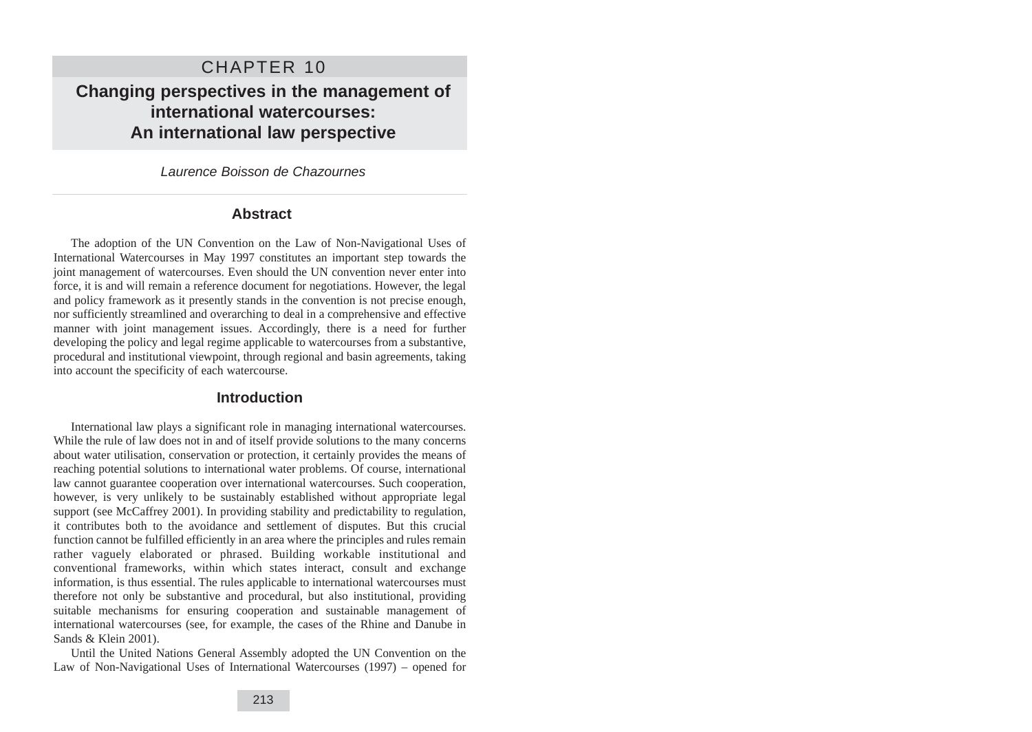# CHAPTER 10

**Changing perspectives in the management of international watercourses: An international law perspective**

Laurence Boisson de Chazournes

### **Abstract**

The adoption of the UN Convention on the Law of Non-Navigational Uses of International Watercourses in May 1997 constitutes an important step towards the joint management of watercourses. Even should the UN convention never enter into force, it is and will remain a reference document for negotiations. However, the legal and policy framework as it presently stands in the convention is not precise enough, nor sufficiently streamlined and overarching to deal in a comprehensive and effective manner with joint management issues. Accordingly, there is a need for further developing the policy and legal regime applicable to watercourses from a substantive, procedural and institutional viewpoint, through regional and basin agreements, taking into account the specificity of each watercourse.

### **Introduction**

International law plays a significant role in managing international watercourses. While the rule of law does not in and of itself provide solutions to the many concerns about water utilisation, conservation or protection, it certainly provides the means of reaching potential solutions to international water problems. Of course, international law cannot guarantee cooperation over international watercourses. Such cooperation, however, is very unlikely to be sustainably established without appropriate legal support (see McCaffrey 2001). In providing stability and predictability to regulation, it contributes both to the avoidance and settlement of disputes. But this crucial function cannot be fulfilled efficiently in an area where the principles and rules remain rather vaguely elaborated or phrased. Building workable institutional and conventional frameworks, within which states interact, consult and exchange information, is thus essential. The rules applicable to international watercourses must therefore not only be substantive and procedural, but also institutional, providing suitable mechanisms for ensuring cooperation and sustainable management of international watercourses (see, for example, the cases of the Rhine and Danube in Sands & Klein 2001).

Until the United Nations General Assembly adopted the UN Convention on the Law of Non-Navigational Uses of International Watercourses (1997) – opened for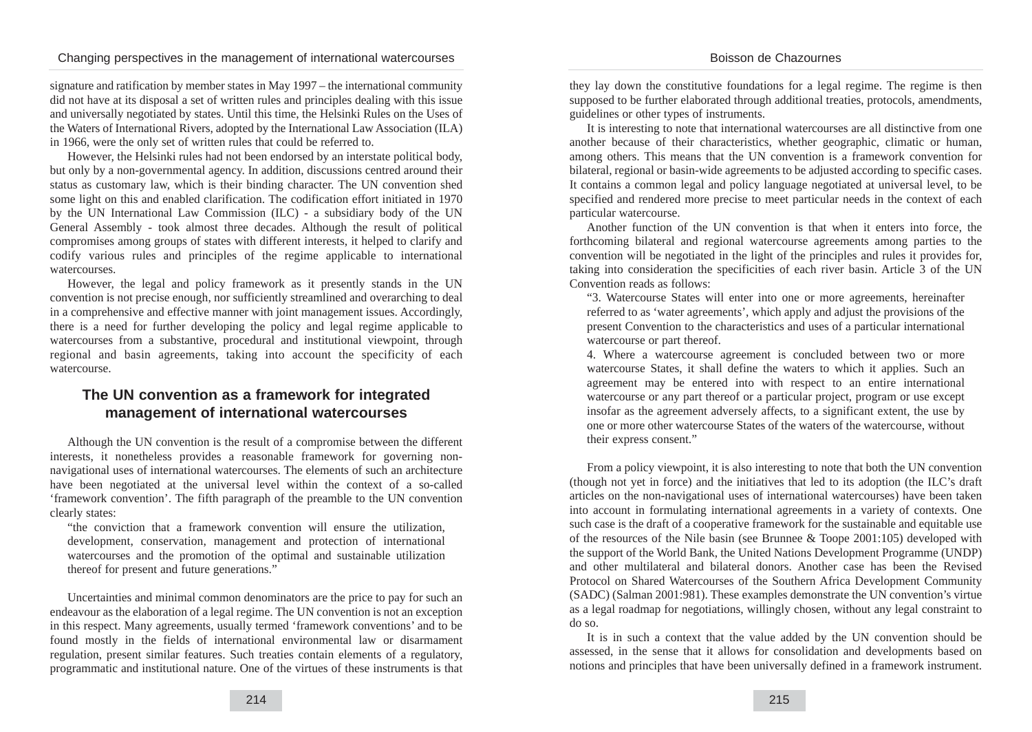signature and ratification by member states in May 1997 – the international community did not have at its disposal a set of written rules and principles dealing with this issue and universally negotiated by states. Until this time, the Helsinki Rules on the Uses of the Waters of International Rivers, adopted by the International Law Association (ILA) in 1966, were the only set of written rules that could be referred to.

However, the Helsinki rules had not been endorsed by an interstate political body, but only by a non-governmental agency. In addition, discussions centred around their status as customary law, which is their binding character. The UN convention shed some light on this and enabled clarification. The codification effort initiated in 1970 by the UN International Law Commission (ILC) - a subsidiary body of the UN General Assembly - took almost three decades. Although the result of political compromises among groups of states with different interests, it helped to clarify and codify various rules and principles of the regime applicable to international watercourses.

However, the legal and policy framework as it presently stands in the UN convention is not precise enough, nor sufficiently streamlined and overarching to deal in a comprehensive and effective manner with joint management issues. Accordingly, there is a need for further developing the policy and legal regime applicable to watercourses from a substantive, procedural and institutional viewpoint, through regional and basin agreements, taking into account the specificity of each watercourse.

## **The UN convention as a framework for integrated management of international watercourses**

Although the UN convention is the result of a compromise between the different interests, it nonetheless provides a reasonable framework for governing nonnavigational uses of international watercourses. The elements of such an architecture have been negotiated at the universal level within the context of a so-called 'framework convention'. The fifth paragraph of the preamble to the UN convention clearly states:

"the conviction that a framework convention will ensure the utilization, development, conservation, management and protection of international watercourses and the promotion of the optimal and sustainable utilization thereof for present and future generations."

Uncertainties and minimal common denominators are the price to pay for such an endeavour as the elaboration of a legal regime. The UN convention is not an exception in this respect. Many agreements, usually termed 'framework conventions' and to be found mostly in the fields of international environmental law or disarmament regulation, present similar features. Such treaties contain elements of a regulatory, programmatic and institutional nature. One of the virtues of these instruments is that

they lay down the constitutive foundations for a legal regime. The regime is then supposed to be further elaborated through additional treaties, protocols, amendments, guidelines or other types of instruments.

It is interesting to note that international watercourses are all distinctive from one another because of their characteristics, whether geographic, climatic or human, among others. This means that the UN convention is a framework convention for bilateral, regional or basin-wide agreements to be adjusted according to specific cases. It contains a common legal and policy language negotiated at universal level, to be specified and rendered more precise to meet particular needs in the context of each particular watercourse.

Another function of the UN convention is that when it enters into force, the forthcoming bilateral and regional watercourse agreements among parties to the convention will be negotiated in the light of the principles and rules it provides for, taking into consideration the specificities of each river basin. Article 3 of the UN Convention reads as follows:

"3. Watercourse States will enter into one or more agreements, hereinafter referred to as 'water agreements', which apply and adjust the provisions of the present Convention to the characteristics and uses of a particular international watercourse or part thereof.

4. Where a watercourse agreement is concluded between two or more watercourse States, it shall define the waters to which it applies. Such an agreement may be entered into with respect to an entire international watercourse or any part thereof or a particular project, program or use except insofar as the agreement adversely affects, to a significant extent, the use by one or more other watercourse States of the waters of the watercourse, without their express consent."

From a policy viewpoint, it is also interesting to note that both the UN convention (though not yet in force) and the initiatives that led to its adoption (the ILC's draft articles on the non-navigational uses of international watercourses) have been taken into account in formulating international agreements in a variety of contexts. One such case is the draft of a cooperative framework for the sustainable and equitable use of the resources of the Nile basin (see Brunnee & Toope 2001:105) developed with the support of the World Bank, the United Nations Development Programme (UNDP) and other multilateral and bilateral donors. Another case has been the Revised Protocol on Shared Watercourses of the Southern Africa Development Community (SADC) (Salman 2001:981). These examples demonstrate the UN convention's virtue as a legal roadmap for negotiations, willingly chosen, without any legal constraint to do so.

It is in such a context that the value added by the UN convention should be assessed, in the sense that it allows for consolidation and developments based on notions and principles that have been universally defined in a framework instrument.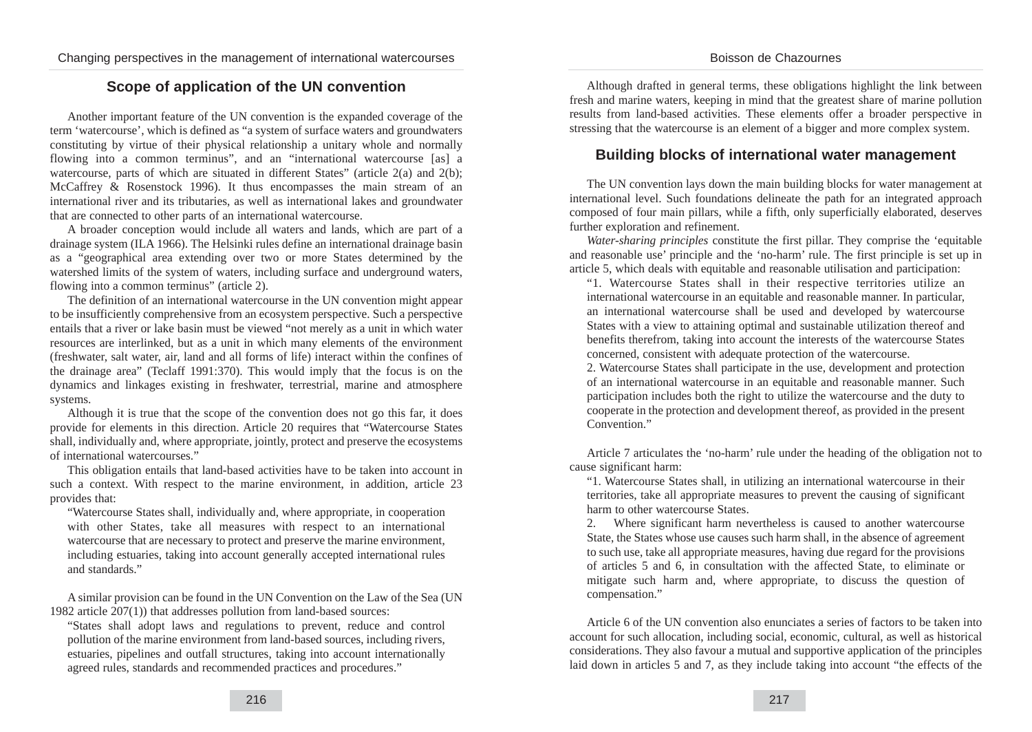### Boisson de Chazournes

## **Scope of application of the UN convention**

Another important feature of the UN convention is the expanded coverage of the term 'watercourse', which is defined as "a system of surface waters and groundwaters constituting by virtue of their physical relationship a unitary whole and normally flowing into a common terminus", and an "international watercourse [as] a watercourse, parts of which are situated in different States" (article  $2(a)$  and  $2(b)$ ; McCaffrey & Rosenstock 1996). It thus encompasses the main stream of an international river and its tributaries, as well as international lakes and groundwater that are connected to other parts of an international watercourse.

A broader conception would include all waters and lands, which are part of a drainage system (ILA 1966). The Helsinki rules define an international drainage basin as a "geographical area extending over two or more States determined by the watershed limits of the system of waters, including surface and underground waters, flowing into a common terminus" (article 2).

The definition of an international watercourse in the UN convention might appear to be insufficiently comprehensive from an ecosystem perspective. Such a perspective entails that a river or lake basin must be viewed "not merely as a unit in which water resources are interlinked, but as a unit in which many elements of the environment (freshwater, salt water, air, land and all forms of life) interact within the confines of the drainage area" (Teclaff 1991:370). This would imply that the focus is on the dynamics and linkages existing in freshwater, terrestrial, marine and atmosphere systems.

Although it is true that the scope of the convention does not go this far, it does provide for elements in this direction. Article 20 requires that "Watercourse States shall, individually and, where appropriate, jointly, protect and preserve the ecosystems of international watercourses."

This obligation entails that land-based activities have to be taken into account in such a context. With respect to the marine environment, in addition, article 23 provides that:

"Watercourse States shall, individually and, where appropriate, in cooperation with other States, take all measures with respect to an international watercourse that are necessary to protect and preserve the marine environment, including estuaries, taking into account generally accepted international rules and standards."

A similar provision can be found in the UN Convention on the Law of the Sea (UN 1982 article 207(1)) that addresses pollution from land-based sources:

"States shall adopt laws and regulations to prevent, reduce and control pollution of the marine environment from land-based sources, including rivers, estuaries, pipelines and outfall structures, taking into account internationally agreed rules, standards and recommended practices and procedures."

Although drafted in general terms, these obligations highlight the link between fresh and marine waters, keeping in mind that the greatest share of marine pollution results from land-based activities. These elements offer a broader perspective in stressing that the watercourse is an element of a bigger and more complex system.

### **Building blocks of international water management**

The UN convention lays down the main building blocks for water management at international level. Such foundations delineate the path for an integrated approach composed of four main pillars, while a fifth, only superficially elaborated, deserves further exploration and refinement.

*Water-sharing principles* constitute the first pillar. They comprise the 'equitable and reasonable use' principle and the 'no-harm' rule. The first principle is set up in article 5, which deals with equitable and reasonable utilisation and participation:

"1. Watercourse States shall in their respective territories utilize an international watercourse in an equitable and reasonable manner. In particular, an international watercourse shall be used and developed by watercourse States with a view to attaining optimal and sustainable utilization thereof and benefits therefrom, taking into account the interests of the watercourse States concerned, consistent with adequate protection of the watercourse.

2. Watercourse States shall participate in the use, development and protection of an international watercourse in an equitable and reasonable manner. Such participation includes both the right to utilize the watercourse and the duty to cooperate in the protection and development thereof, as provided in the present Convention."

Article 7 articulates the 'no-harm' rule under the heading of the obligation not to cause significant harm:

"1. Watercourse States shall, in utilizing an international watercourse in their territories, take all appropriate measures to prevent the causing of significant harm to other watercourse States.

2. Where significant harm nevertheless is caused to another watercourse State, the States whose use causes such harm shall, in the absence of agreement to such use, take all appropriate measures, having due regard for the provisions of articles 5 and 6, in consultation with the affected State, to eliminate or mitigate such harm and, where appropriate, to discuss the question of compensation."

Article 6 of the UN convention also enunciates a series of factors to be taken into account for such allocation, including social, economic, cultural, as well as historical considerations. They also favour a mutual and supportive application of the principles laid down in articles 5 and 7, as they include taking into account "the effects of the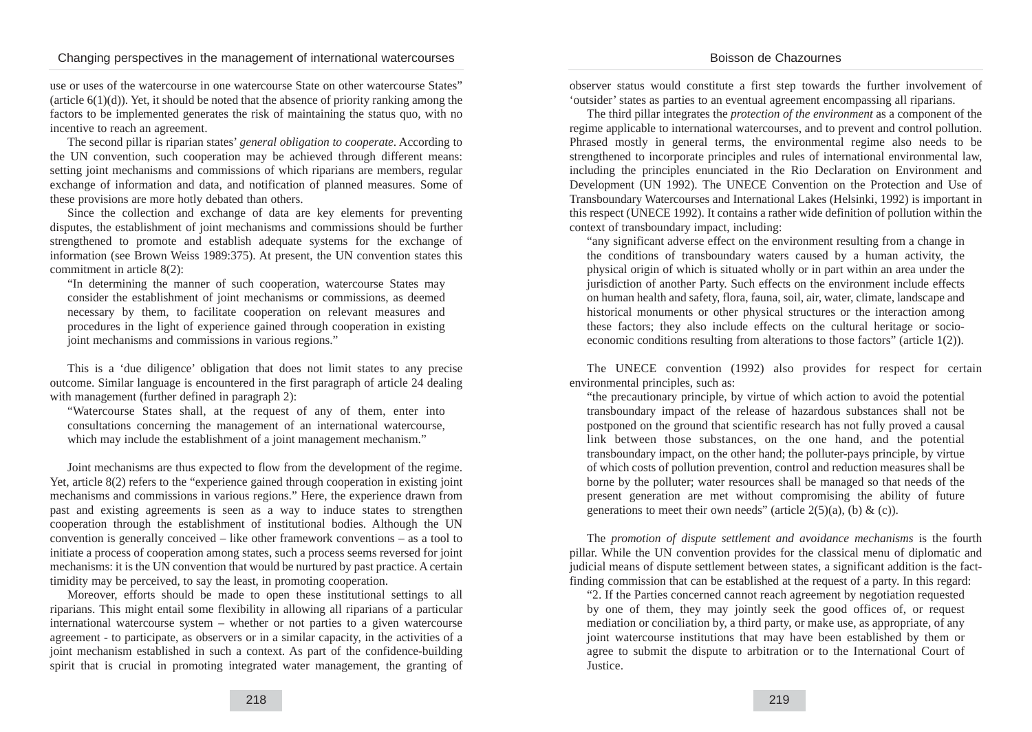use or uses of the watercourse in one watercourse State on other watercourse States" (article  $6(1)(d)$ ). Yet, it should be noted that the absence of priority ranking among the factors to be implemented generates the risk of maintaining the status quo, with no incentive to reach an agreement.

The second pillar is riparian states' *general obligation to cooperate*. According to the UN convention, such cooperation may be achieved through different means: setting joint mechanisms and commissions of which riparians are members, regular exchange of information and data, and notification of planned measures. Some of these provisions are more hotly debated than others.

Since the collection and exchange of data are key elements for preventing disputes, the establishment of joint mechanisms and commissions should be further strengthened to promote and establish adequate systems for the exchange of information (see Brown Weiss 1989:375). At present, the UN convention states this commitment in article 8(2):

"In determining the manner of such cooperation, watercourse States may consider the establishment of joint mechanisms or commissions, as deemed necessary by them, to facilitate cooperation on relevant measures and procedures in the light of experience gained through cooperation in existing joint mechanisms and commissions in various regions."

This is a 'due diligence' obligation that does not limit states to any precise outcome. Similar language is encountered in the first paragraph of article 24 dealing with management (further defined in paragraph 2):

"Watercourse States shall, at the request of any of them, enter into consultations concerning the management of an international watercourse, which may include the establishment of a joint management mechanism."

Joint mechanisms are thus expected to flow from the development of the regime. Yet, article 8(2) refers to the "experience gained through cooperation in existing joint mechanisms and commissions in various regions." Here, the experience drawn from past and existing agreements is seen as a way to induce states to strengthen cooperation through the establishment of institutional bodies. Although the UN convention is generally conceived – like other framework conventions – as a tool to initiate a process of cooperation among states, such a process seems reversed for joint mechanisms: it is the UN convention that would be nurtured by past practice. A certain timidity may be perceived, to say the least, in promoting cooperation.

Moreover, efforts should be made to open these institutional settings to all riparians. This might entail some flexibility in allowing all riparians of a particular international watercourse system – whether or not parties to a given watercourse agreement - to participate, as observers or in a similar capacity, in the activities of a joint mechanism established in such a context. As part of the confidence-building spirit that is crucial in promoting integrated water management, the granting of

#### observer status would constitute a first step towards the further involvement of 'outsider' states as parties to an eventual agreement encompassing all riparians.

Boisson de Chazournes

The third pillar integrates the *protection of the environment* as a component of the regime applicable to international watercourses, and to prevent and control pollution. Phrased mostly in general terms, the environmental regime also needs to be strengthened to incorporate principles and rules of international environmental law, including the principles enunciated in the Rio Declaration on Environment and Development (UN 1992). The UNECE Convention on the Protection and Use of Transboundary Watercourses and International Lakes (Helsinki, 1992) is important in this respect (UNECE 1992). It contains a rather wide definition of pollution within the context of transboundary impact, including:

"any significant adverse effect on the environment resulting from a change in the conditions of transboundary waters caused by a human activity, the physical origin of which is situated wholly or in part within an area under the jurisdiction of another Party. Such effects on the environment include effects on human health and safety, flora, fauna, soil, air, water, climate, landscape and historical monuments or other physical structures or the interaction among these factors; they also include effects on the cultural heritage or socioeconomic conditions resulting from alterations to those factors" (article 1(2)).

The UNECE convention (1992) also provides for respect for certain environmental principles, such as:

"the precautionary principle, by virtue of which action to avoid the potential transboundary impact of the release of hazardous substances shall not be postponed on the ground that scientific research has not fully proved a causal link between those substances, on the one hand, and the potential transboundary impact, on the other hand; the polluter-pays principle, by virtue of which costs of pollution prevention, control and reduction measures shall be borne by the polluter; water resources shall be managed so that needs of the present generation are met without compromising the ability of future generations to meet their own needs" (article  $2(5)(a)$ , (b) & (c)).

The *promotion of dispute settlement and avoidance mechanisms* is the fourth pillar. While the UN convention provides for the classical menu of diplomatic and judicial means of dispute settlement between states, a significant addition is the factfinding commission that can be established at the request of a party. In this regard:

"2. If the Parties concerned cannot reach agreement by negotiation requested by one of them, they may jointly seek the good offices of, or request mediation or conciliation by, a third party, or make use, as appropriate, of any joint watercourse institutions that may have been established by them or agree to submit the dispute to arbitration or to the International Court of Justice.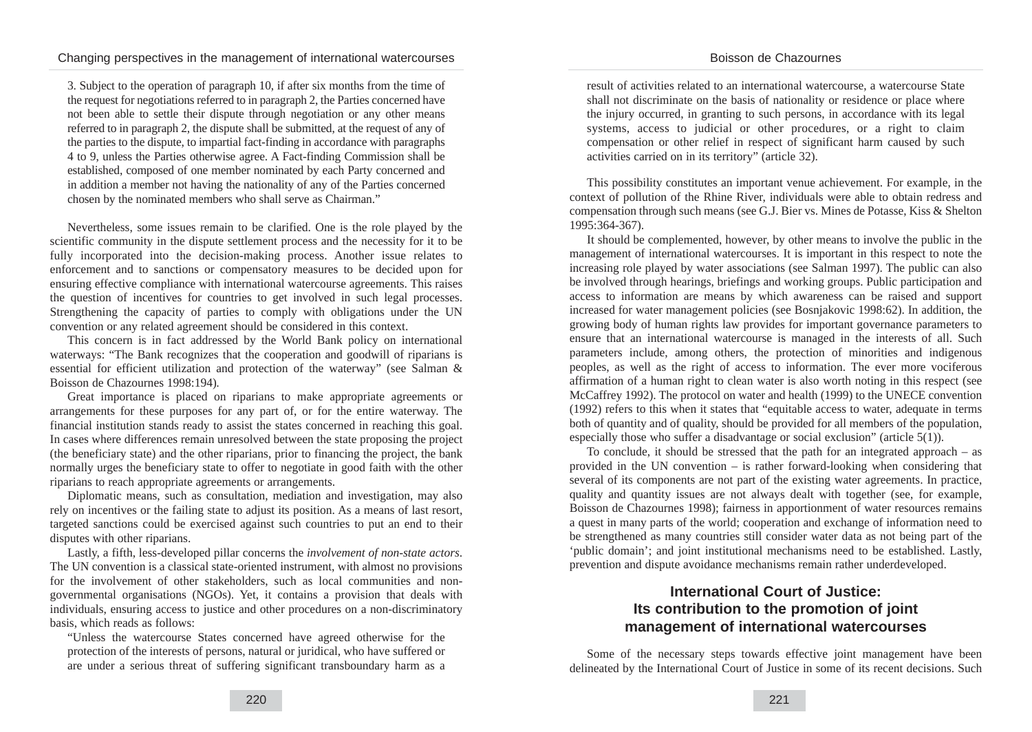3. Subject to the operation of paragraph 10, if after six months from the time of the request for negotiations referred to in paragraph 2, the Parties concerned have not been able to settle their dispute through negotiation or any other means referred to in paragraph 2, the dispute shall be submitted, at the request of any of the parties to the dispute, to impartial fact-finding in accordance with paragraphs 4 to 9, unless the Parties otherwise agree. A Fact-finding Commission shall be established, composed of one member nominated by each Party concerned and in addition a member not having the nationality of any of the Parties concerned chosen by the nominated members who shall serve as Chairman."

Nevertheless, some issues remain to be clarified. One is the role played by the scientific community in the dispute settlement process and the necessity for it to be fully incorporated into the decision-making process. Another issue relates to enforcement and to sanctions or compensatory measures to be decided upon for ensuring effective compliance with international watercourse agreements. This raises the question of incentives for countries to get involved in such legal processes. Strengthening the capacity of parties to comply with obligations under the UN convention or any related agreement should be considered in this context.

This concern is in fact addressed by the World Bank policy on international waterways: "The Bank recognizes that the cooperation and goodwill of riparians is essential for efficient utilization and protection of the waterway" (see Salman & Boisson de Chazournes 1998:194)*.*

Great importance is placed on riparians to make appropriate agreements or arrangements for these purposes for any part of, or for the entire waterway. The financial institution stands ready to assist the states concerned in reaching this goal. In cases where differences remain unresolved between the state proposing the project (the beneficiary state) and the other riparians, prior to financing the project, the bank normally urges the beneficiary state to offer to negotiate in good faith with the other riparians to reach appropriate agreements or arrangements.

Diplomatic means, such as consultation, mediation and investigation, may also rely on incentives or the failing state to adjust its position. As a means of last resort, targeted sanctions could be exercised against such countries to put an end to their disputes with other riparians.

Lastly, a fifth, less-developed pillar concerns the *involvement of non-state actors*. The UN convention is a classical state-oriented instrument, with almost no provisions for the involvement of other stakeholders, such as local communities and nongovernmental organisations (NGOs). Yet, it contains a provision that deals with individuals, ensuring access to justice and other procedures on a non-discriminatory basis, which reads as follows:

"Unless the watercourse States concerned have agreed otherwise for the protection of the interests of persons, natural or juridical, who have suffered or are under a serious threat of suffering significant transboundary harm as a

result of activities related to an international watercourse, a watercourse State shall not discriminate on the basis of nationality or residence or place where the injury occurred, in granting to such persons, in accordance with its legal systems, access to judicial or other procedures, or a right to claim compensation or other relief in respect of significant harm caused by such activities carried on in its territory" (article 32).

This possibility constitutes an important venue achievement. For example, in the context of pollution of the Rhine River, individuals were able to obtain redress and compensation through such means (see G.J. Bier vs. Mines de Potasse, Kiss & Shelton 1995:364-367).

It should be complemented, however, by other means to involve the public in the management of international watercourses. It is important in this respect to note the increasing role played by water associations (see Salman 1997). The public can also be involved through hearings, briefings and working groups. Public participation and access to information are means by which awareness can be raised and support increased for water management policies (see Bosnjakovic 1998:62). In addition, the growing body of human rights law provides for important governance parameters to ensure that an international watercourse is managed in the interests of all. Such parameters include, among others, the protection of minorities and indigenous peoples, as well as the right of access to information. The ever more vociferous affirmation of a human right to clean water is also worth noting in this respect (see McCaffrey 1992). The protocol on water and health (1999) to the UNECE convention (1992) refers to this when it states that "equitable access to water, adequate in terms both of quantity and of quality, should be provided for all members of the population, especially those who suffer a disadvantage or social exclusion" (article 5(1)).

To conclude, it should be stressed that the path for an integrated approach – as provided in the UN convention – is rather forward-looking when considering that several of its components are not part of the existing water agreements. In practice, quality and quantity issues are not always dealt with together (see, for example, Boisson de Chazournes 1998); fairness in apportionment of water resources remains a quest in many parts of the world; cooperation and exchange of information need to be strengthened as many countries still consider water data as not being part of the 'public domain'; and joint institutional mechanisms need to be established. Lastly, prevention and dispute avoidance mechanisms remain rather underdeveloped.

## **International Court of Justice: Its contribution to the promotion of joint management of international watercourses**

Some of the necessary steps towards effective joint management have been delineated by the International Court of Justice in some of its recent decisions. Such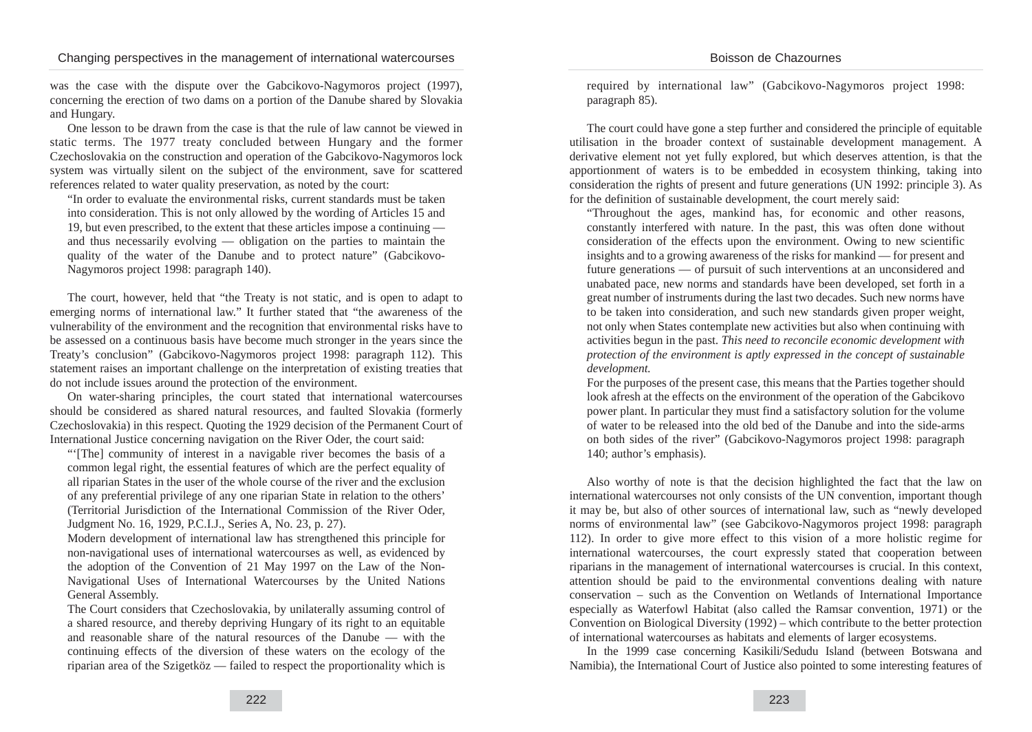was the case with the dispute over the Gabcikovo-Nagymoros project (1997), concerning the erection of two dams on a portion of the Danube shared by Slovakia and Hungary.

One lesson to be drawn from the case is that the rule of law cannot be viewed in static terms. The 1977 treaty concluded between Hungary and the former Czechoslovakia on the construction and operation of the Gabcikovo-Nagymoros lock system was virtually silent on the subject of the environment, save for scattered references related to water quality preservation, as noted by the court:

"In order to evaluate the environmental risks, current standards must be taken into consideration. This is not only allowed by the wording of Articles 15 and 19, but even prescribed, to the extent that these articles impose a continuing and thus necessarily evolving — obligation on the parties to maintain the quality of the water of the Danube and to protect nature" (Gabcikovo-Nagymoros project 1998: paragraph 140).

The court, however, held that "the Treaty is not static, and is open to adapt to emerging norms of international law." It further stated that "the awareness of the vulnerability of the environment and the recognition that environmental risks have to be assessed on a continuous basis have become much stronger in the years since the Treaty's conclusion" (Gabcikovo-Nagymoros project 1998: paragraph 112). This statement raises an important challenge on the interpretation of existing treaties that do not include issues around the protection of the environment.

On water-sharing principles, the court stated that international watercourses should be considered as shared natural resources, and faulted Slovakia (formerly Czechoslovakia) in this respect. Quoting the 1929 decision of the Permanent Court of International Justice concerning navigation on the River Oder, the court said:

"'[The] community of interest in a navigable river becomes the basis of a common legal right, the essential features of which are the perfect equality of all riparian States in the user of the whole course of the river and the exclusion of any preferential privilege of any one riparian State in relation to the others' (Territorial Jurisdiction of the International Commission of the River Oder, Judgment No. 16, 1929, P.C.I.J., Series A, No. 23, p. 27).

Modern development of international law has strengthened this principle for non-navigational uses of international watercourses as well, as evidenced by the adoption of the Convention of 21 May 1997 on the Law of the Non-Navigational Uses of International Watercourses by the United Nations General Assembly.

The Court considers that Czechoslovakia, by unilaterally assuming control of a shared resource, and thereby depriving Hungary of its right to an equitable and reasonable share of the natural resources of the Danube — with the continuing effects of the diversion of these waters on the ecology of the riparian area of the Szigetköz — failed to respect the proportionality which is required by international law" (Gabcikovo-Nagymoros project 1998: paragraph 85).

The court could have gone a step further and considered the principle of equitable utilisation in the broader context of sustainable development management. A derivative element not yet fully explored, but which deserves attention, is that the apportionment of waters is to be embedded in ecosystem thinking, taking into consideration the rights of present and future generations (UN 1992: principle 3). As for the definition of sustainable development, the court merely said:

"Throughout the ages, mankind has, for economic and other reasons, constantly interfered with nature. In the past, this was often done without consideration of the effects upon the environment. Owing to new scientific insights and to a growing awareness of the risks for mankind — for present and future generations — of pursuit of such interventions at an unconsidered and unabated pace, new norms and standards have been developed, set forth in a great number of instruments during the last two decades. Such new norms have to be taken into consideration, and such new standards given proper weight, not only when States contemplate new activities but also when continuing with activities begun in the past. *This need to reconcile economic development with protection of the environment is aptly expressed in the concept of sustainable development.*

For the purposes of the present case, this means that the Parties together should look afresh at the effects on the environment of the operation of the Gabcikovo power plant. In particular they must find a satisfactory solution for the volume of water to be released into the old bed of the Danube and into the side-arms on both sides of the river" (Gabcikovo-Nagymoros project 1998: paragraph 140; author's emphasis).

Also worthy of note is that the decision highlighted the fact that the law on international watercourses not only consists of the UN convention, important though it may be, but also of other sources of international law, such as "newly developed norms of environmental law" (see Gabcikovo-Nagymoros project 1998: paragraph 112). In order to give more effect to this vision of a more holistic regime for international watercourses, the court expressly stated that cooperation between riparians in the management of international watercourses is crucial. In this context, attention should be paid to the environmental conventions dealing with nature conservation – such as the Convention on Wetlands of International Importance especially as Waterfowl Habitat (also called the Ramsar convention, 1971) or the Convention on Biological Diversity (1992) – which contribute to the better protection of international watercourses as habitats and elements of larger ecosystems.

In the 1999 case concerning Kasikili/Sedudu Island (between Botswana and Namibia), the International Court of Justice also pointed to some interesting features of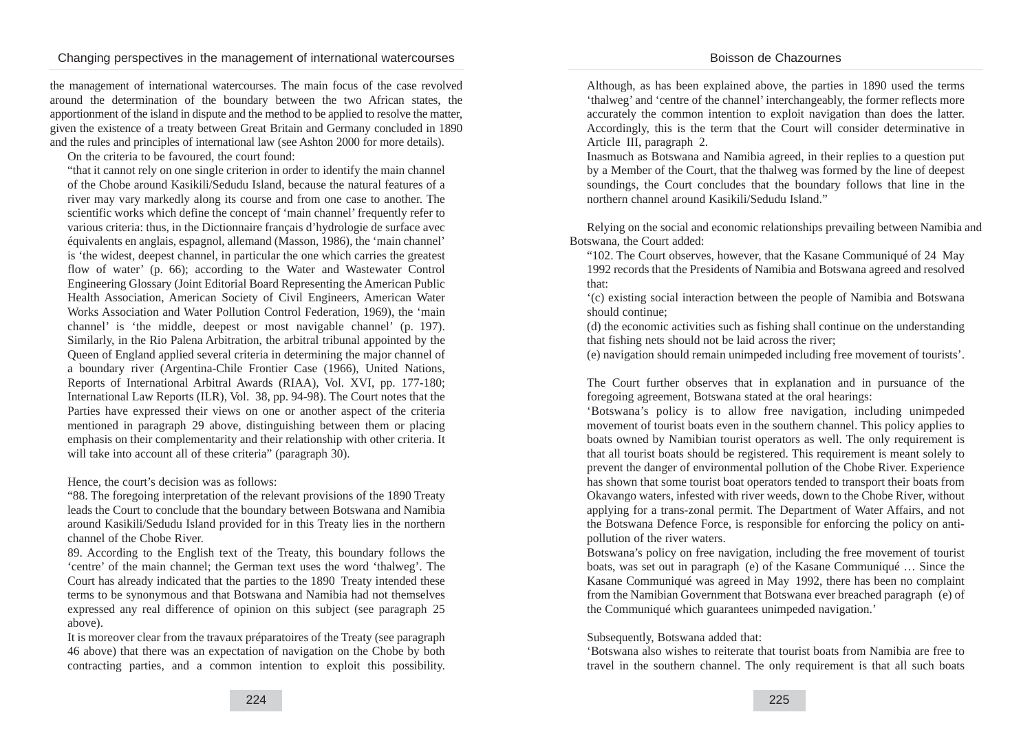the management of international watercourses. The main focus of the case revolved around the determination of the boundary between the two African states, the apportionment of the island in dispute and the method to be applied to resolve the matter, given the existence of a treaty between Great Britain and Germany concluded in 1890 and the rules and principles of international law (see Ashton 2000 for more details).

On the criteria to be favoured, the court found:

"that it cannot rely on one single criterion in order to identify the main channel of the Chobe around Kasikili/Sedudu Island, because the natural features of a river may vary markedly along its course and from one case to another. The scientific works which define the concept of 'main channel' frequently refer to various criteria: thus, in the Dictionnaire français d'hydrologie de surface avec équivalents en anglais, espagnol, allemand (Masson, 1986), the 'main channel' is 'the widest, deepest channel, in particular the one which carries the greatest flow of water' (p. 66); according to the Water and Wastewater Control Engineering Glossary (Joint Editorial Board Representing the American Public Health Association, American Society of Civil Engineers, American Water Works Association and Water Pollution Control Federation, 1969), the 'main channel' is 'the middle, deepest or most navigable channel' (p. 197). Similarly, in the Rio Palena Arbitration, the arbitral tribunal appointed by the Queen of England applied several criteria in determining the major channel of a boundary river (Argentina-Chile Frontier Case (1966), United Nations, Reports of International Arbitral Awards (RIAA), Vol. XVI, pp. 177-180; International Law Reports (ILR), Vol. 38, pp. 94-98). The Court notes that the Parties have expressed their views on one or another aspect of the criteria mentioned in paragraph 29 above, distinguishing between them or placing emphasis on their complementarity and their relationship with other criteria. It will take into account all of these criteria" (paragraph 30).

Hence, the court's decision was as follows:

"88. The foregoing interpretation of the relevant provisions of the 1890 Treaty leads the Court to conclude that the boundary between Botswana and Namibia around Kasikili/Sedudu Island provided for in this Treaty lies in the northern channel of the Chobe River.

89. According to the English text of the Treaty, this boundary follows the 'centre' of the main channel; the German text uses the word 'thalweg'. The Court has already indicated that the parties to the 1890 Treaty intended these terms to be synonymous and that Botswana and Namibia had not themselves expressed any real difference of opinion on this subject (see paragraph 25 above).

It is moreover clear from the travaux préparatoires of the Treaty (see paragraph 46 above) that there was an expectation of navigation on the Chobe by both contracting parties, and a common intention to exploit this possibility.

Although, as has been explained above, the parties in 1890 used the terms 'thalweg' and 'centre of the channel' interchangeably, the former reflects more accurately the common intention to exploit navigation than does the latter. Accordingly, this is the term that the Court will consider determinative in Article III, paragraph 2.

Inasmuch as Botswana and Namibia agreed, in their replies to a question put by a Member of the Court, that the thalweg was formed by the line of deepest soundings, the Court concludes that the boundary follows that line in the northern channel around Kasikili/Sedudu Island."

Relying on the social and economic relationships prevailing between Namibia and Botswana, the Court added:

"102. The Court observes, however, that the Kasane Communiqué of 24 May 1992 records that the Presidents of Namibia and Botswana agreed and resolved that:

'(c) existing social interaction between the people of Namibia and Botswana should continue;

(d) the economic activities such as fishing shall continue on the understanding that fishing nets should not be laid across the river;

(e) navigation should remain unimpeded including free movement of tourists'.

The Court further observes that in explanation and in pursuance of the foregoing agreement, Botswana stated at the oral hearings:

'Botswana's policy is to allow free navigation, including unimpeded movement of tourist boats even in the southern channel. This policy applies to boats owned by Namibian tourist operators as well. The only requirement is that all tourist boats should be registered. This requirement is meant solely to prevent the danger of environmental pollution of the Chobe River. Experience has shown that some tourist boat operators tended to transport their boats from Okavango waters, infested with river weeds, down to the Chobe River, without applying for a trans-zonal permit. The Department of Water Affairs, and not the Botswana Defence Force, is responsible for enforcing the policy on antipollution of the river waters.

Botswana's policy on free navigation, including the free movement of tourist boats, was set out in paragraph (e) of the Kasane Communiqué … Since the Kasane Communiqué was agreed in May 1992, there has been no complaint from the Namibian Government that Botswana ever breached paragraph (e) of the Communiqué which guarantees unimpeded navigation.'

### Subsequently, Botswana added that:

'Botswana also wishes to reiterate that tourist boats from Namibia are free to travel in the southern channel. The only requirement is that all such boats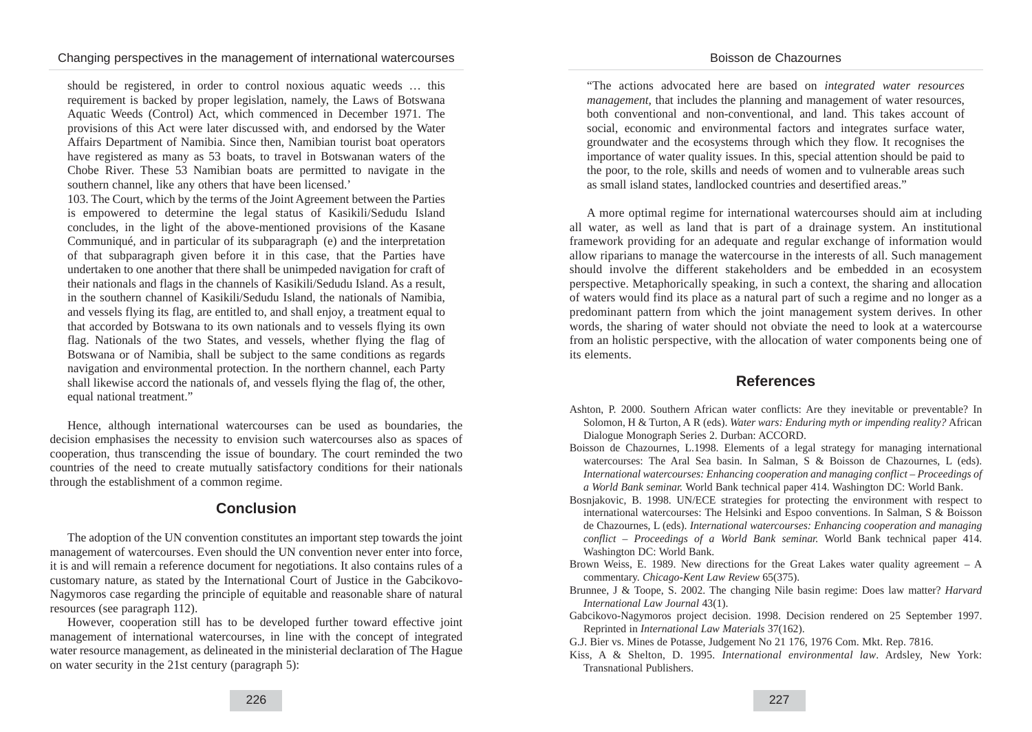should be registered, in order to control noxious aquatic weeds … this requirement is backed by proper legislation, namely, the Laws of Botswana Aquatic Weeds (Control) Act, which commenced in December 1971. The provisions of this Act were later discussed with, and endorsed by the Water Affairs Department of Namibia. Since then, Namibian tourist boat operators have registered as many as 53 boats, to travel in Botswanan waters of the Chobe River. These 53 Namibian boats are permitted to navigate in the southern channel, like any others that have been licensed.'

103. The Court, which by the terms of the Joint Agreement between the Parties is empowered to determine the legal status of Kasikili/Sedudu Island concludes, in the light of the above-mentioned provisions of the Kasane Communiqué, and in particular of its subparagraph (e) and the interpretation of that subparagraph given before it in this case, that the Parties have undertaken to one another that there shall be unimpeded navigation for craft of their nationals and flags in the channels of Kasikili/Sedudu Island. As a result, in the southern channel of Kasikili/Sedudu Island, the nationals of Namibia, and vessels flying its flag, are entitled to, and shall enjoy, a treatment equal to that accorded by Botswana to its own nationals and to vessels flying its own flag. Nationals of the two States, and vessels, whether flying the flag of Botswana or of Namibia, shall be subject to the same conditions as regards navigation and environmental protection. In the northern channel, each Party shall likewise accord the nationals of, and vessels flying the flag of, the other, equal national treatment."

Hence, although international watercourses can be used as boundaries, the decision emphasises the necessity to envision such watercourses also as spaces of cooperation, thus transcending the issue of boundary. The court reminded the two countries of the need to create mutually satisfactory conditions for their nationals through the establishment of a common regime.

## **Conclusion**

The adoption of the UN convention constitutes an important step towards the joint management of watercourses. Even should the UN convention never enter into force, it is and will remain a reference document for negotiations. It also contains rules of a customary nature, as stated by the International Court of Justice in the Gabcikovo-Nagymoros case regarding the principle of equitable and reasonable share of natural resources (see paragraph 112).

However, cooperation still has to be developed further toward effective joint management of international watercourses, in line with the concept of integrated water resource management, as delineated in the ministerial declaration of The Hague on water security in the 21st century (paragraph 5):

"The actions advocated here are based on *integrated water resources management*, that includes the planning and management of water resources, both conventional and non-conventional, and land. This takes account of social, economic and environmental factors and integrates surface water, groundwater and the ecosystems through which they flow. It recognises the importance of water quality issues. In this, special attention should be paid to the poor, to the role, skills and needs of women and to vulnerable areas such as small island states, landlocked countries and desertified areas."

A more optimal regime for international watercourses should aim at including all water, as well as land that is part of a drainage system. An institutional framework providing for an adequate and regular exchange of information would allow riparians to manage the watercourse in the interests of all. Such management should involve the different stakeholders and be embedded in an ecosystem perspective. Metaphorically speaking, in such a context, the sharing and allocation of waters would find its place as a natural part of such a regime and no longer as a predominant pattern from which the joint management system derives. In other words, the sharing of water should not obviate the need to look at a watercourse from an holistic perspective, with the allocation of water components being one of its elements.

### **References**

- Ashton, P. 2000. Southern African water conflicts: Are they inevitable or preventable? In Solomon, H & Turton, A R (eds). *Water wars: Enduring myth or impending reality?* African Dialogue Monograph Series 2. Durban: ACCORD.
- Boisson de Chazournes, L.1998. Elements of a legal strategy for managing international watercourses: The Aral Sea basin. In Salman, S & Boisson de Chazournes, L (eds). *International watercourses: Enhancing cooperation and managing conflict – Proceedings of a World Bank seminar.* World Bank technical paper 414. Washington DC: World Bank.
- Bosnjakovic, B. 1998. UN/ECE strategies for protecting the environment with respect to international watercourses: The Helsinki and Espoo conventions. In Salman, S & Boisson de Chazournes, L (eds). *International watercourses: Enhancing cooperation and managing conflict – Proceedings of a World Bank seminar.* World Bank technical paper 414. Washington DC: World Bank.
- Brown Weiss, E. 1989. New directions for the Great Lakes water quality agreement  $A$ commentary. *Chicago-Kent Law Review* 65(375).
- Brunnee, J & Toope, S. 2002. The changing Nile basin regime: Does law matter? *Harvard International Law Journal* 43(1).
- Gabcikovo-Nagymoros project decision. 1998. Decision rendered on 25 September 1997. Reprinted in *International Law Materials* 37(162).
- G.J. Bier vs. Mines de Potasse, Judgement No 21 176, 1976 Com. Mkt. Rep. 7816.
- Kiss, A & Shelton, D. 1995. *International environmental law*. Ardsley, New York: Transnational Publishers.